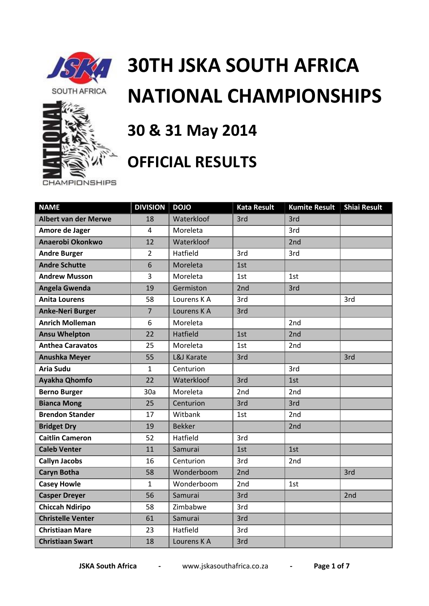

**CHAMPIONSHIPS** 



## **30TH JSKA SOUTH AFRICA NATIONAL CHAMPIONSHIPS**

## **30 & 31 May 2014**

## **OFFICIAL RESULTS**

| <b>NAME</b>                   | <b>DIVISION</b> | <b>DOJO</b>   | <b>Kata Result</b> | <b>Kumite Result</b> | <b>Shiai Result</b> |
|-------------------------------|-----------------|---------------|--------------------|----------------------|---------------------|
| <b>Albert van der Merwe</b>   | 18              | Waterkloof    | 3rd                | 3rd                  |                     |
| Amore de Jager                | 4               | Moreleta      |                    | 3rd                  |                     |
| Anaerobi Okonkwo              | 12              | Waterkloof    |                    | 2 <sub>nd</sub>      |                     |
| <b>Andre Burger</b>           | $\overline{2}$  | Hatfield      | 3rd                | 3rd                  |                     |
| <b>Andre Schutte</b>          | 6               | Moreleta      | 1st                |                      |                     |
| <b>Andrew Musson</b>          | 3               | Moreleta      | 1st                | 1st                  |                     |
| Angela Gwenda                 | 19              | Germiston     | 2nd                | 3rd                  |                     |
| <b>Anita Lourens</b>          | 58              | Lourens K A   | 3rd                |                      | 3rd                 |
| <b>Anke-Neri Burger</b>       | $\overline{7}$  | Lourens K A   | 3rd                |                      |                     |
| <b>Anrich Molleman</b>        | 6               | Moreleta      |                    | 2nd                  |                     |
| <b>Ansu Whelpton</b>          | 22              | Hatfield      | 1st                | 2nd                  |                     |
| <b>Anthea Caravatos</b><br>25 |                 | Moreleta      | 1st                | 2 <sub>nd</sub>      |                     |
| <b>Anushka Meyer</b>          | 55              | L&J Karate    | 3rd                |                      | 3rd                 |
| <b>Aria Sudu</b>              | $\mathbf{1}$    | Centurion     |                    | 3rd                  |                     |
| Ayakha Qhomfo                 | 22              | Waterkloof    | 3rd                | 1st                  |                     |
| <b>Berno Burger</b>           | 30a             | Moreleta      | 2nd                | 2nd                  |                     |
| <b>Bianca Mong</b><br>25      |                 | Centurion     | 3rd                | 3rd                  |                     |
| <b>Brendon Stander</b><br>17  |                 | Witbank       | 1st                | 2nd                  |                     |
| <b>Bridget Dry</b><br>19      |                 | <b>Bekker</b> |                    | 2nd                  |                     |
| <b>Caitlin Cameron</b>        | 52              | Hatfield      | 3rd                |                      |                     |
| <b>Caleb Venter</b>           | 11              | Samurai       | 1st                | 1st                  |                     |
| <b>Callyn Jacobs</b>          | 16              | Centurion     | 3rd                | 2nd                  |                     |
| <b>Caryn Botha</b>            | 58              | Wonderboom    | 2nd                |                      | 3rd                 |
| <b>Casey Howle</b>            | $\mathbf{1}$    | Wonderboom    | 2 <sub>nd</sub>    | 1st                  |                     |
| <b>Casper Dreyer</b>          | 56              | Samurai       | 3rd                |                      | 2nd                 |
| <b>Chiccah Ndiripo</b>        | 58              | Zimbabwe      | 3rd                |                      |                     |
| <b>Christelle Venter</b>      | 61              | Samurai       | 3rd                |                      |                     |
| <b>Christiaan Mare</b>        | 23              | Hatfield      | 3rd                |                      |                     |
| <b>Christiaan Swart</b><br>18 |                 | Lourens K A   | 3rd                |                      |                     |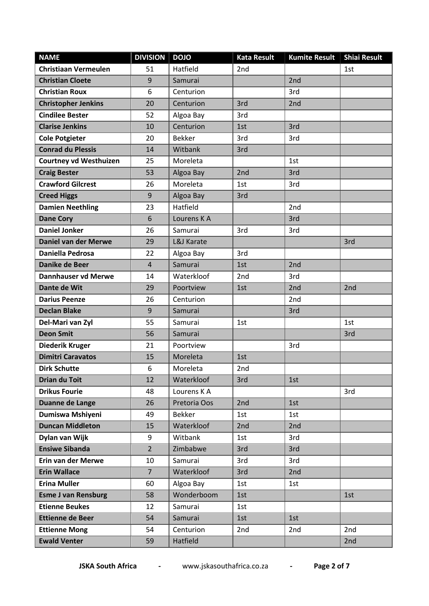| <b>NAME</b>                   | <b>DIVISION</b> | <b>DOJO</b>   | <b>Kata Result</b> | <b>Kumite Result</b> | <b>Shiai Result</b> |
|-------------------------------|-----------------|---------------|--------------------|----------------------|---------------------|
| <b>Christiaan Vermeulen</b>   | 51              | Hatfield      | 2nd                |                      | 1st                 |
| <b>Christian Cloete</b>       | 9               | Samurai       |                    | 2nd                  |                     |
| <b>Christian Roux</b>         | 6               | Centurion     |                    | 3rd                  |                     |
| <b>Christopher Jenkins</b>    | 20              | Centurion     | 3rd                | 2nd                  |                     |
| <b>Cindilee Bester</b>        | 52              | Algoa Bay     | 3rd                |                      |                     |
| <b>Clarise Jenkins</b>        | 10              | Centurion     | 1st                | 3rd                  |                     |
| <b>Cole Potgieter</b>         | 20              | <b>Bekker</b> | 3rd                | 3rd                  |                     |
| <b>Conrad du Plessis</b>      | 14              | Witbank       | 3rd                |                      |                     |
| <b>Courtney vd Westhuizen</b> | 25              | Moreleta      |                    | 1st                  |                     |
| <b>Craig Bester</b>           | 53              | Algoa Bay     | 2nd                | 3rd                  |                     |
| <b>Crawford Gilcrest</b>      | 26              | Moreleta      | 1st                | 3rd                  |                     |
| <b>Creed Higgs</b>            | 9               | Algoa Bay     | 3rd                |                      |                     |
| <b>Damien Neethling</b>       | 23              | Hatfield      |                    | 2nd                  |                     |
| <b>Dane Cory</b>              | 6               | Lourens K A   |                    | 3rd                  |                     |
| <b>Daniel Jonker</b>          | 26              | Samurai       | 3rd                | 3rd                  |                     |
| <b>Daniel van der Merwe</b>   | 29              | L&J Karate    |                    |                      | 3rd                 |
| Daniella Pedrosa              | 22              | Algoa Bay     | 3rd                |                      |                     |
| <b>Danike de Beer</b>         | $\overline{4}$  | Samurai       | 1st                | 2nd                  |                     |
| <b>Dannhauser vd Merwe</b>    | 14              | Waterkloof    | 2nd                | 3rd                  |                     |
| Dante de Wit                  | 29              | Poortview     | 1st                | 2nd                  | 2nd                 |
| <b>Darius Peenze</b>          | 26              | Centurion     |                    | 2 <sub>nd</sub>      |                     |
| <b>Declan Blake</b>           | 9               | Samurai       |                    | 3rd                  |                     |
| Del-Mari van Zyl              | 55              | Samurai       | 1st                |                      | 1st                 |
| <b>Deon Smit</b>              | 56              | Samurai       |                    |                      | 3rd                 |
| <b>Diederik Kruger</b>        | 21              | Poortview     |                    | 3rd                  |                     |
| <b>Dimitri Caravatos</b>      | 15              | Moreleta      | 1st                |                      |                     |
| <b>Dirk Schutte</b>           | 6               | Moreleta      | 2nd                |                      |                     |
| <b>Drian du Toit</b>          | 12              | Waterkloof    | 3rd                | 1st                  |                     |
| <b>Drikus Fourie</b>          | 48              | Lourens K A   |                    |                      | 3rd                 |
| Duanne de Lange               | 26              | Pretoria Oos  | 2nd                | 1st                  |                     |
| Dumiswa Mshiyeni              | 49              | <b>Bekker</b> | 1st                | 1st                  |                     |
| <b>Duncan Middleton</b>       | 15              | Waterkloof    | 2nd                | 2nd                  |                     |
| Dylan van Wijk                | 9               | Witbank       | 1st                | 3rd                  |                     |
| <b>Ensiwe Sibanda</b>         | $\overline{2}$  | Zimbabwe      | 3rd                | 3rd                  |                     |
| Erin van der Merwe            | 10              | Samurai       | 3rd                | 3rd                  |                     |
| <b>Erin Wallace</b>           | $7\overline{ }$ | Waterkloof    | 3rd                | 2nd                  |                     |
| <b>Erina Muller</b>           | 60              | Algoa Bay     | 1st                | 1st                  |                     |
| <b>Esme J van Rensburg</b>    | 58              | Wonderboom    | 1st                |                      | 1st                 |
| <b>Etienne Beukes</b>         | 12              | Samurai       | 1st                |                      |                     |
| <b>Ettienne de Beer</b>       | 54              | Samurai       | 1st                | 1st                  |                     |
| <b>Ettienne Mong</b>          | 54              | Centurion     | 2nd                | 2nd                  | 2nd                 |
| <b>Ewald Venter</b>           | 59              | Hatfield      |                    |                      | 2nd                 |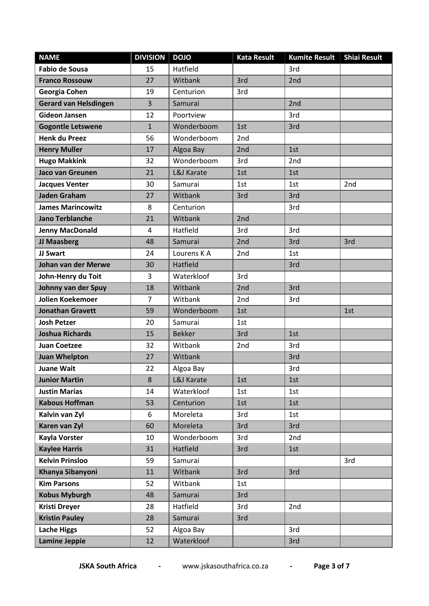| <b>NAME</b>                  | <b>DIVISION</b> | <b>DOJO</b>   | <b>Kata Result</b> | <b>Kumite Result</b> | <b>Shiai Result</b> |
|------------------------------|-----------------|---------------|--------------------|----------------------|---------------------|
| <b>Fabio de Sousa</b>        | 15              | Hatfield      |                    | 3rd                  |                     |
| <b>Franco Rossouw</b>        | 27              | Witbank       | 3rd                | 2nd                  |                     |
| Georgia Cohen                | 19              | Centurion     | 3rd                |                      |                     |
| <b>Gerard van Helsdingen</b> | 3               | Samurai       |                    | 2nd                  |                     |
| <b>Gideon Jansen</b>         | 12              | Poortview     |                    | 3rd                  |                     |
| <b>Gogontle Letswene</b>     | $\mathbf{1}$    | Wonderboom    | 1st                | 3rd                  |                     |
| <b>Henk du Preez</b>         | 56              | Wonderboom    | 2nd                |                      |                     |
| <b>Henry Muller</b>          | 17              | Algoa Bay     | 2nd                | 1st                  |                     |
| <b>Hugo Makkink</b>          | 32              | Wonderboom    | 3rd                | 2nd                  |                     |
| Jaco van Greunen             | 21              | L&J Karate    | 1st                | 1st                  |                     |
| <b>Jacques Venter</b>        | 30              | Samurai       | 1st                | 1st                  | 2nd                 |
| <b>Jaden Graham</b>          | 27              | Witbank       | 3rd                | 3rd                  |                     |
| <b>James Marincowitz</b>     | 8               | Centurion     |                    | 3rd                  |                     |
| <b>Jano Terblanche</b>       | 21              | Witbank       | 2nd                |                      |                     |
| <b>Jenny MacDonald</b>       | 4               | Hatfield      | 3rd                | 3rd                  |                     |
| JJ Maasberg                  | 48              | Samurai       | 2nd                | 3rd                  | 3rd                 |
| JJ Swart                     | 24              | Lourens K A   | 2 <sub>nd</sub>    | 1st                  |                     |
| Johan van der Merwe          | 30              | Hatfield      |                    | 3rd                  |                     |
| John-Henry du Toit           | 3               | Waterkloof    | 3rd                |                      |                     |
| Johnny van der Spuy          | 18              | Witbank       | 2nd                | 3rd                  |                     |
| Jolien Koekemoer             | $\overline{7}$  | Witbank       | 2nd                | 3rd                  |                     |
| <b>Jonathan Gravett</b>      | 59              | Wonderboom    | 1st                |                      | 1st                 |
| <b>Josh Petzer</b>           | 20              | Samurai       | 1st                |                      |                     |
| <b>Joshua Richards</b>       | 15              | <b>Bekker</b> | 3rd                | 1st                  |                     |
| <b>Juan Coetzee</b>          | 32              | Witbank       | 2nd                | 3rd                  |                     |
| <b>Juan Whelpton</b>         | 27              | Witbank       |                    | 3rd                  |                     |
| <b>Juane Wait</b>            | 22              | Algoa Bay     |                    | 3rd                  |                     |
| <b>Junior Martin</b>         | 8               | L&J Karate    | 1st                | 1st                  |                     |
| <b>Justin Marias</b>         | 14              | Waterkloof    | 1st                | 1st                  |                     |
| <b>Kabous Hoffman</b>        | 53              | Centurion     | 1st                | 1st                  |                     |
| Kalvin van Zyl               | 6               | Moreleta      | 3rd                | 1st                  |                     |
| Karen van Zyl                | 60              | Moreleta      | 3rd                | 3rd                  |                     |
| <b>Kayla Vorster</b>         | 10              | Wonderboom    | 3rd                | 2nd                  |                     |
| <b>Kaylee Harris</b>         | 31              | Hatfield      | 3rd                | 1st                  |                     |
| <b>Kelvin Prinsloo</b>       | 59              | Samurai       |                    |                      | 3rd                 |
| Khanya Sibanyoni             | 11              | Witbank       | 3rd                | 3rd                  |                     |
| <b>Kim Parsons</b>           | 52              | Witbank       | 1st                |                      |                     |
| <b>Kobus Myburgh</b>         | 48              | Samurai       | 3rd                |                      |                     |
| <b>Kristi Dreyer</b>         | 28              | Hatfield      | 3rd                | 2nd                  |                     |
| <b>Kristin Pauley</b>        | 28              | Samurai       | 3rd                |                      |                     |
| <b>Lache Higgs</b>           | 52              | Algoa Bay     |                    | 3rd                  |                     |
| <b>Lamine Jeppie</b>         | 12              | Waterkloof    |                    | 3rd                  |                     |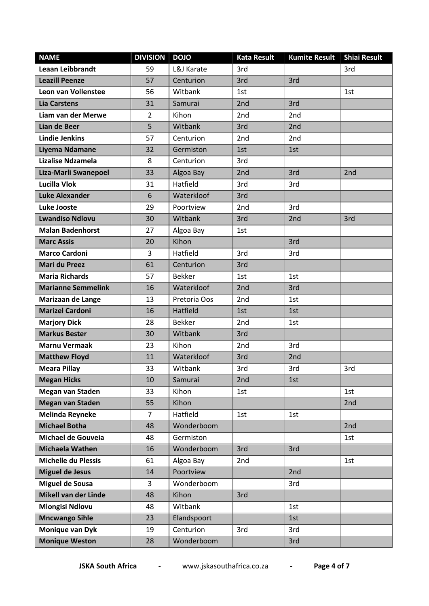| <b>NAME</b>                 | <b>DIVISION</b> | <b>DOJO</b>   | <b>Kata Result</b> | <b>Kumite Result</b> | <b>Shiai Result</b> |
|-----------------------------|-----------------|---------------|--------------------|----------------------|---------------------|
| <b>Leaan Leibbrandt</b>     | 59              | L&J Karate    | 3rd                |                      | 3rd                 |
| <b>Leazill Peenze</b>       | 57              | Centurion     | 3rd                | 3rd                  |                     |
| Leon van Vollenstee         | 56              | Witbank       | 1st                |                      | 1st                 |
| <b>Lia Carstens</b>         | 31              | Samurai       | 2nd                | 3rd                  |                     |
| Liam van der Merwe          | $\overline{2}$  | Kihon         | 2 <sub>nd</sub>    | 2nd                  |                     |
| Lian de Beer                | 5               | Witbank       | 3rd                | 2nd                  |                     |
| <b>Lindie Jenkins</b>       | 57              | Centurion     | 2nd                | 2nd                  |                     |
| Liyema Ndamane              | 32              | Germiston     | 1st                | 1st                  |                     |
| <b>Lizalise Ndzamela</b>    | 8               | Centurion     | 3rd                |                      |                     |
| Liza-Marli Swanepoel        | 33              | Algoa Bay     | 2nd                | 3rd                  | 2nd                 |
| Lucilla Vlok                | 31              | Hatfield      | 3rd                | 3rd                  |                     |
| <b>Luke Alexander</b>       | 6               | Waterkloof    | 3rd                |                      |                     |
| <b>Luke Jooste</b>          | 29              | Poortview     | 2nd                | 3rd                  |                     |
| <b>Lwandiso Ndlovu</b>      | 30              | Witbank       | 3rd                | 2nd                  | 3rd                 |
| <b>Malan Badenhorst</b>     | 27              | Algoa Bay     | 1st                |                      |                     |
| <b>Marc Assis</b>           | 20              | Kihon         |                    | 3rd                  |                     |
| <b>Marco Cardoni</b>        | 3               | Hatfield      | 3rd                | 3rd                  |                     |
| <b>Mari du Preez</b>        | 61              | Centurion     | 3rd                |                      |                     |
| <b>Maria Richards</b>       | 57              | <b>Bekker</b> | 1st                | 1st                  |                     |
| <b>Marianne Semmelink</b>   | 16              | Waterkloof    | 2nd                | 3rd                  |                     |
| Marizaan de Lange           | 13              | Pretoria Oos  | 2nd                | 1st                  |                     |
| <b>Marizel Cardoni</b>      | 16              | Hatfield      | 1st                | 1st                  |                     |
| <b>Marjory Dick</b>         | 28              | <b>Bekker</b> | 2nd                | 1st                  |                     |
| <b>Markus Bester</b>        | 30              | Witbank       | 3rd                |                      |                     |
| <b>Marnu Vermaak</b><br>23  |                 | Kihon         | 2nd                | 3rd                  |                     |
| <b>Matthew Floyd</b>        | 11              | Waterkloof    | 3rd                | 2nd                  |                     |
| <b>Meara Pillay</b>         | 33              | Witbank       | 3rd                | 3rd                  | 3rd                 |
| <b>Megan Hicks</b>          | 10              | Samurai       | 2 <sub>nd</sub>    | 1st                  |                     |
| <b>Megan van Staden</b>     | 33              | Kihon         | 1st                |                      | 1st                 |
| <b>Megan van Staden</b>     | 55              | Kihon         |                    |                      | 2nd                 |
| <b>Melinda Reyneke</b>      | $\overline{7}$  | Hatfield      | 1st                | 1st                  |                     |
| <b>Michael Botha</b>        | 48              | Wonderboom    |                    |                      | 2nd                 |
| Michael de Gouveia          | 48              | Germiston     |                    |                      | 1st                 |
| <b>Michaela Wathen</b>      | 16              | Wonderboom    | 3rd                | 3rd                  |                     |
| <b>Michelle du Plessis</b>  | 61              | Algoa Bay     | 2nd                |                      | 1st                 |
| <b>Miguel de Jesus</b>      | 14              | Poortview     |                    | 2nd                  |                     |
| <b>Miguel de Sousa</b>      | 3               | Wonderboom    |                    | 3rd                  |                     |
| <b>Mikell van der Linde</b> | 48              | Kihon         | 3rd                |                      |                     |
| <b>Mlongisi Ndlovu</b>      | 48              | Witbank       |                    | 1st                  |                     |
| <b>Mncwango Sihle</b>       | 23              | Elandspoort   |                    | 1st                  |                     |
| Monique van Dyk             | 19              | Centurion     | 3rd                | 3rd                  |                     |
| <b>Monique Weston</b>       | 28              | Wonderboom    |                    | 3rd                  |                     |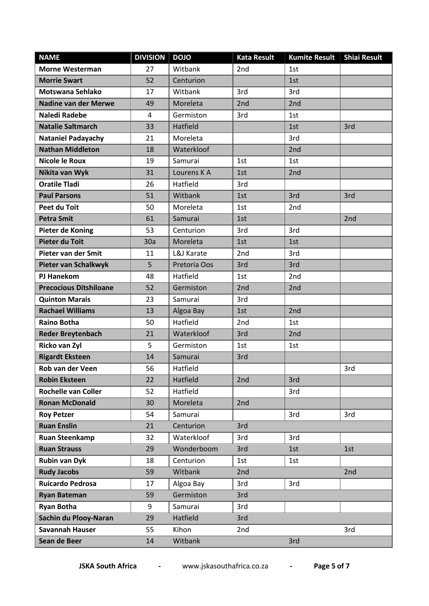| <b>NAME</b>                   | <b>DIVISION</b> | <b>DOJO</b>  | <b>Kata Result</b> | <b>Kumite Result</b> | <b>Shiai Result</b> |
|-------------------------------|-----------------|--------------|--------------------|----------------------|---------------------|
| <b>Morne Westerman</b>        | 27              | Witbank      | 2nd                | 1st                  |                     |
| <b>Morrie Swart</b>           | 52              | Centurion    |                    | 1st                  |                     |
| Motswana Sehlako              | 17              | Witbank      | 3rd                | 3rd                  |                     |
| <b>Nadine van der Merwe</b>   | 49              | Moreleta     | 2nd                | 2nd                  |                     |
| <b>Naledi Radebe</b>          | 4               | Germiston    | 3rd                | 1st                  |                     |
| <b>Natalie Saltmarch</b>      | 33              | Hatfield     |                    | 1st                  | 3rd                 |
| <b>Nataniel Padayachy</b>     | 21              | Moreleta     |                    | 3rd                  |                     |
| <b>Nathan Middleton</b>       | 18              | Waterkloof   |                    | 2nd                  |                     |
| <b>Nicole le Roux</b>         | 19              | Samurai      | 1st                | 1st                  |                     |
| Nikita van Wyk                | 31              | Lourens K A  | 1st                | 2 <sub>nd</sub>      |                     |
| <b>Oratile Tladi</b>          | 26              | Hatfield     | 3rd                |                      |                     |
| <b>Paul Parsons</b>           | 51              | Witbank      | 1st                | 3rd                  | 3rd                 |
| Peet du Toit                  | 50              | Moreleta     | 1st                | 2nd                  |                     |
| <b>Petra Smit</b>             | 61              | Samurai      | 1st                |                      | 2nd                 |
| Pieter de Koning              | 53              | Centurion    | 3rd                | 3rd                  |                     |
| <b>Pieter du Toit</b>         | 30a             | Moreleta     | 1st                | 1st                  |                     |
| Pieter van der Smit           | 11              | L&J Karate   | 2nd                | 3rd                  |                     |
| <b>Pieter van Schalkwyk</b>   | 5               | Pretoria Oos | 3rd                | 3rd                  |                     |
| <b>PJ Hanekom</b>             | 48              | Hatfield     | 1st                | 2nd                  |                     |
| <b>Precocious Ditshiloane</b> | 52              | Germiston    | 2nd                | 2nd                  |                     |
| <b>Quinton Marais</b>         | 23              | Samurai      | 3rd                |                      |                     |
| <b>Rachael Williams</b>       | 13              | Algoa Bay    | 1st                | 2nd                  |                     |
| <b>Raino Botha</b>            | 50              | Hatfield     | 2nd                | 1st                  |                     |
| <b>Reder Breytenbach</b>      | 21              | Waterkloof   | 3rd                | 2nd                  |                     |
| Ricko van Zyl                 | 5               | Germiston    | 1st                | 1st                  |                     |
| <b>Rigardt Eksteen</b>        | 14              | Samurai      | 3rd                |                      |                     |
| Rob van der Veen              | 56              | Hatfield     |                    |                      | 3rd                 |
| <b>Robin Eksteen</b>          | 22              | Hatfield     | 2nd                | 3rd                  |                     |
| <b>Rochelle van Coller</b>    | 52              | Hatfield     |                    | 3rd                  |                     |
| <b>Ronan McDonald</b>         | 30              | Moreleta     | 2nd                |                      |                     |
| <b>Roy Petzer</b>             | 54              | Samurai      |                    | 3rd                  | 3rd                 |
| <b>Ruan Enslin</b>            | 21              | Centurion    | 3rd                |                      |                     |
| <b>Ruan Steenkamp</b>         | 32              | Waterkloof   | 3rd                | 3rd                  |                     |
| <b>Ruan Strauss</b>           | 29              | Wonderboom   | 3rd                | 1st                  | 1st                 |
| <b>Rubin van Dyk</b>          | 18              | Centurion    | 1st                | 1st                  |                     |
| <b>Rudy Jacobs</b>            | 59              | Witbank      | 2nd                |                      | 2nd                 |
| <b>Ruicardo Pedrosa</b>       | 17              | Algoa Bay    | 3rd                | 3rd                  |                     |
| <b>Ryan Bateman</b>           | 59              | Germiston    | 3rd                |                      |                     |
| <b>Ryan Botha</b>             | 9               | Samurai      | 3rd                |                      |                     |
| Sachin du Plooy-Naran         | 29              | Hatfield     | 3rd                |                      |                     |
| <b>Savannah Hauser</b>        | 55              | Kihon        | 2 <sub>nd</sub>    |                      | 3rd                 |
| Sean de Beer                  | 14              | Witbank      |                    | 3rd                  |                     |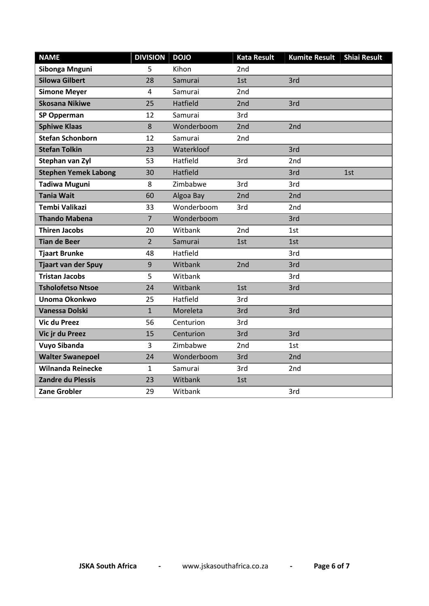| <b>NAME</b>                 | <b>DIVISION</b> | <b>DOJO</b>     | <b>Kata Result</b> | <b>Kumite Result</b> | <b>Shiai Result</b> |
|-----------------------------|-----------------|-----------------|--------------------|----------------------|---------------------|
| Sibonga Mnguni              | 5               | Kihon           | 2 <sub>nd</sub>    |                      |                     |
| <b>Silowa Gilbert</b>       | 28              | Samurai         | 1st                | 3rd                  |                     |
| <b>Simone Meyer</b>         | 4               | Samurai         | 2 <sub>nd</sub>    |                      |                     |
| <b>Skosana Nikiwe</b>       | 25              | Hatfield        | 2nd                | 3rd                  |                     |
| <b>SP Opperman</b>          | 12              | Samurai         | 3rd                |                      |                     |
| <b>Sphiwe Klaas</b>         | 8               | Wonderboom      | 2 <sub>nd</sub>    | 2nd                  |                     |
| <b>Stefan Schonborn</b>     | 12              | Samurai         | 2 <sub>nd</sub>    |                      |                     |
| <b>Stefan Tolkin</b>        | 23              | Waterkloof      |                    | 3rd                  |                     |
| Stephan van Zyl             | 53              | Hatfield        | 3rd                | 2 <sub>nd</sub>      |                     |
| <b>Stephen Yemek Labong</b> | 30              | <b>Hatfield</b> |                    | 3rd                  | 1st                 |
| <b>Tadiwa Muguni</b>        | 8               | Zimbabwe        | 3rd                | 3rd                  |                     |
| <b>Tania Wait</b>           | 60              | Algoa Bay       | 2 <sub>nd</sub>    | 2 <sub>nd</sub>      |                     |
| <b>Tembi Valikazi</b>       | 33              | Wonderboom      | 3rd                | 2nd                  |                     |
| <b>Thando Mabena</b>        | $\overline{7}$  | Wonderboom      |                    | 3rd                  |                     |
| <b>Thiren Jacobs</b>        | 20              | Witbank         | 2 <sub>nd</sub>    | 1st                  |                     |
| <b>Tian de Beer</b>         | 2               | Samurai         | 1st                | 1st                  |                     |
| <b>Tjaart Brunke</b>        | 48              | Hatfield        |                    | 3rd                  |                     |
| <b>Tjaart van der Spuy</b>  | 9               | Witbank         | 2nd                | 3rd                  |                     |
| <b>Tristan Jacobs</b>       | 5               | Witbank         |                    | 3rd                  |                     |
| <b>Tsholofetso Ntsoe</b>    | 24              | Witbank         | 1st                | 3rd                  |                     |
| Unoma Okonkwo               | 25              | Hatfield        | 3rd                |                      |                     |
| <b>Vanessa Dolski</b>       | $\mathbf{1}$    | Moreleta        | 3rd                | 3rd                  |                     |
| <b>Vic du Preez</b>         | 56              | Centurion       | 3rd                |                      |                     |
| Vic jr du Preez             | 15              | Centurion       | 3rd                | 3rd                  |                     |
| <b>Vuyo Sibanda</b>         | 3               | Zimbabwe        | 2 <sub>nd</sub>    | 1st                  |                     |
| <b>Walter Swanepoel</b>     | 24              | Wonderboom      | 3rd                | 2nd                  |                     |
| <b>Wilnanda Reinecke</b>    | $\mathbf{1}$    | Samurai         | 3rd                | 2nd                  |                     |
| <b>Zandre du Plessis</b>    | 23              | Witbank         | 1st                |                      |                     |
| <b>Zane Grobler</b>         | 29              | Witbank         |                    | 3rd                  |                     |